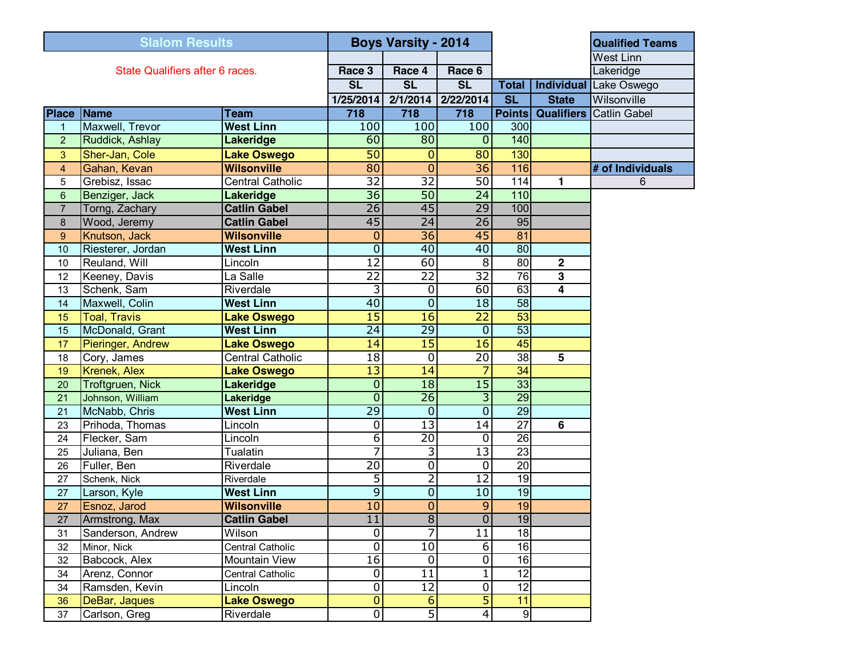| <b>Slalom Results</b>           |                     | <b>Boys Varsity - 2014</b> |                  |                        |                         |                        | <b>Qualified Teams</b> |                     |
|---------------------------------|---------------------|----------------------------|------------------|------------------------|-------------------------|------------------------|------------------------|---------------------|
|                                 |                     |                            |                  |                        |                         |                        | <b>West Linn</b>       |                     |
| State Qualifiers after 6 races. |                     |                            | Race 3           | Race 4                 | Race 6                  |                        |                        | Lakeridge           |
|                                 |                     |                            | <b>SL</b>        | $\overline{\text{SL}}$ | <b>SL</b>               | <b>Total</b>           | Individual             | Lake Oswego         |
|                                 |                     |                            | 1/25/2014        | 2/1/2014               | 2/22/2014               | $\overline{\text{SL}}$ | <b>State</b>           | Wilsonville         |
| <b>Place Name</b>               |                     | <b>Team</b>                | 718              | 718                    | 718                     | <b>Points</b>          | <b>Qualifiers</b>      | <b>Catlin Gabel</b> |
| 1                               | Maxwell, Trevor     | <b>West Linn</b>           | 100              | 100                    | 100                     | 300                    |                        |                     |
| $\overline{2}$                  | Ruddick, Ashlay     | Lakeridge                  | 60               | 80                     | $\overline{0}$          | 140                    |                        |                     |
| 3                               | Sher-Jan, Cole      | <b>Lake Oswego</b>         | 50               | $\mathbf 0$            | 80                      | 130                    |                        |                     |
| $\overline{4}$                  | Gahan, Kevan        | <b>Wilsonville</b>         | 80               | $\overline{0}$         | 36                      | 116                    |                        | # of Individuals    |
| 5                               | Grebisz, Issac      | <b>Central Catholic</b>    | $\overline{32}$  | $\overline{32}$        | 50                      | 114                    | 1                      | 6                   |
| $6\phantom{1}$                  | Benziger, Jack      | Lakeridge                  | $\overline{36}$  | 50                     | $\overline{24}$         | 110                    |                        |                     |
| $\overline{7}$                  | Torng, Zachary      | <b>Catlin Gabel</b>        | $\overline{26}$  | 45                     | 29                      | 100                    |                        |                     |
| 8                               | Wood, Jeremy        | <b>Catlin Gabel</b>        | 45               | $\overline{24}$        | $\overline{26}$         | 95                     |                        |                     |
| 9                               | Knutson, Jack       | <b>Wilsonville</b>         | $\mathbf{0}$     | $\overline{36}$        | 45                      | 81                     |                        |                     |
| 10                              | Riesterer, Jordan   | <b>West Linn</b>           | $\mathbf 0$      | 40                     | 40                      | 80                     |                        |                     |
| 10                              | Reuland, Will       | Lincoln                    | $\overline{12}$  | 60                     | $\overline{8}$          | 80                     | $\mathbf 2$            |                     |
| 12                              | Keeney, Davis       | La Salle                   | $\overline{22}$  | $\overline{22}$        | 32                      | 76                     | 3                      |                     |
| 13                              | Schenk, Sam         | Riverdale                  | 3                | $\mathbf 0$            | 60                      | 63                     | 4                      |                     |
| 14                              | Maxwell, Colin      | <b>West Linn</b>           | 40               | $\overline{0}$         | 18                      | $\overline{58}$        |                        |                     |
| 15                              | <b>Toal, Travis</b> | <b>Lake Oswego</b>         | $\overline{15}$  | 16                     | $\overline{22}$         | 53                     |                        |                     |
| 15                              | McDonald, Grant     | <b>West Linn</b>           | $\overline{24}$  | $\overline{29}$        | $\overline{0}$          | 53                     |                        |                     |
| 17                              | Pieringer, Andrew   | <b>Lake Oswego</b>         | 14               | $\overline{15}$        | 16                      | 45                     |                        |                     |
| 18                              | Cory, James         | <b>Central Catholic</b>    | 18               | $\mathbf 0$            | $\overline{20}$         | $\overline{38}$        | $5\phantom{.0}$        |                     |
| 19                              | Krenek, Alex        | <b>Lake Oswego</b>         | $\overline{13}$  | 14                     | 7                       | $\overline{34}$        |                        |                     |
| 20                              | Troftgruen, Nick    | <b>Lakeridge</b>           | $\mathbf 0$      | $\overline{18}$        | $\overline{15}$         | 33                     |                        |                     |
| 21                              | Johnson, William    | Lakeridge                  | $\overline{0}$   | $\overline{26}$        | υ                       | 29                     |                        |                     |
| 21                              | McNabb, Chris       | <b>West Linn</b>           | $\overline{29}$  | $\mathbf 0$            | $\overline{0}$          | 29                     |                        |                     |
| 23                              | Prihoda, Thomas     | Lincoln                    | $\boldsymbol{0}$ | $\overline{13}$        | 14                      | $\overline{27}$        | 6                      |                     |
| 24                              | Flecker, Sam        | Lincoln                    | $\overline{6}$   | $\overline{20}$        | $\overline{\mathsf{o}}$ | $\overline{26}$        |                        |                     |
| 25                              | Juliana, Ben        | Tualatin                   | 7                | 3                      | $\overline{13}$         | $\overline{23}$        |                        |                     |
| 26                              | Fuller, Ben         | Riverdale                  | $\overline{20}$  | 0                      | $\overline{\mathsf{o}}$ | $\overline{20}$        |                        |                     |
| 27                              | Schenk, Nick        | Riverdale                  | 5                | $\overline{2}$         | $\overline{12}$         | $\overline{19}$        |                        |                     |
| 27                              | Larson, Kyle        | <b>West Linn</b>           | $\overline{9}$   | $\mathbf 0$            | 10                      | $\overline{19}$        |                        |                     |
| 27                              | Esnoz, Jarod        | <b>Wilsonville</b>         | 10               | $\overline{0}$         | $\overline{9}$          | 19                     |                        |                     |
| 27                              | Armstrong, Max      | <b>Catlin Gabel</b>        | $\overline{11}$  | $8^{\circ}$            | $\overline{\mathbf{0}}$ | 19                     |                        |                     |
| 31                              | Sanderson, Andrew   | Wilson                     | $\overline{0}$   | 7                      | $\overline{11}$         | 18                     |                        |                     |
| 32                              | Minor, Nick         | Central Catholic           | $\mathbf 0$      | 10                     | 6                       | $\overline{16}$        |                        |                     |
| 32                              | Babcock, Alex       | Mountain View              | 16               | $\mathbf 0$            | $\overline{0}$          | $\overline{16}$        |                        |                     |
| 34                              | Arenz, Connor       | Central Catholic           | $\pmb{0}$        | 11                     | $\mathbf 1$             | $\overline{12}$        |                        |                     |
| 34                              | Ramsden, Kevin      | Lincoln                    | 0                | 12                     | $\overline{\mathsf{o}}$ | $\overline{12}$        |                        |                     |
| 36                              | DeBar, Jaques       | <b>Lake Oswego</b>         | $\bf{0}$         | 6                      | 5                       | 11                     |                        |                     |
| 37                              | Carlson, Greg       | Riverdale                  | $\overline{0}$   | 5                      | $\overline{4}$          | 9                      |                        |                     |